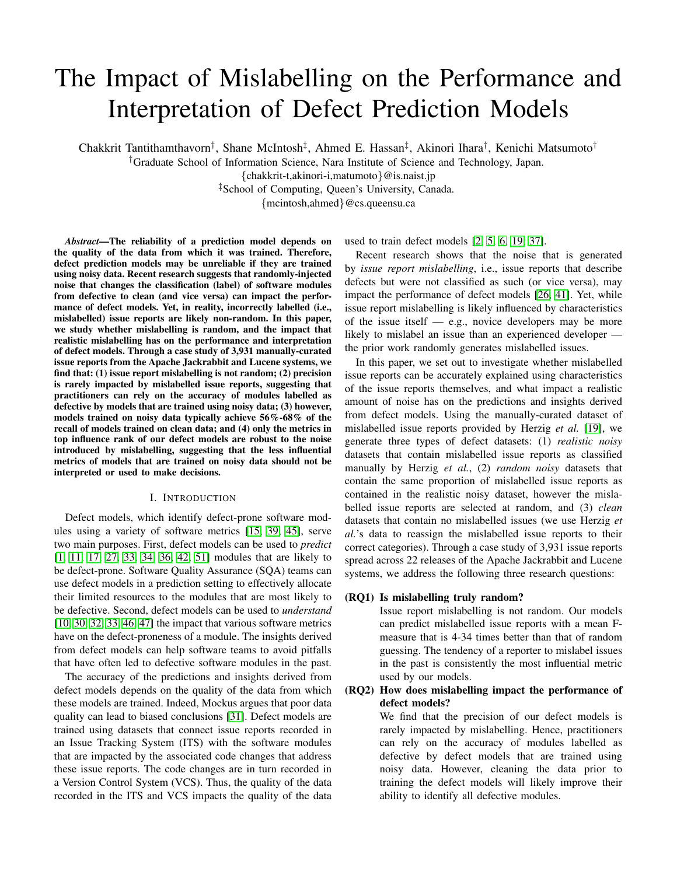# <span id="page-0-0"></span>The Impact of Mislabelling on the Performance and Interpretation of Defect Prediction Models

Chakkrit Tantithamthavorn<sup>†</sup>, Shane McIntosh<sup>‡</sup>, Ahmed E. Hassan<sup>‡</sup>, Akinori Ihara<sup>†</sup>, Kenichi Matsumoto<sup>†</sup>

†Graduate School of Information Science, Nara Institute of Science and Technology, Japan.

{chakkrit-t,akinori-i,matumoto}@is.naist.jp

‡School of Computing, Queen's University, Canada.

{mcintosh,ahmed}@cs.queensu.ca

*Abstract*—The reliability of a prediction model depends on the quality of the data from which it was trained. Therefore, defect prediction models may be unreliable if they are trained using noisy data. Recent research suggests that randomly-injected noise that changes the classification (label) of software modules from defective to clean (and vice versa) can impact the performance of defect models. Yet, in reality, incorrectly labelled (i.e., mislabelled) issue reports are likely non-random. In this paper, we study whether mislabelling is random, and the impact that realistic mislabelling has on the performance and interpretation of defect models. Through a case study of 3,931 manually-curated issue reports from the Apache Jackrabbit and Lucene systems, we find that: (1) issue report mislabelling is not random; (2) precision is rarely impacted by mislabelled issue reports, suggesting that practitioners can rely on the accuracy of modules labelled as defective by models that are trained using noisy data; (3) however, models trained on noisy data typically achieve 56%-68% of the recall of models trained on clean data; and (4) only the metrics in top influence rank of our defect models are robust to the noise introduced by mislabelling, suggesting that the less influential metrics of models that are trained on noisy data should not be interpreted or used to make decisions.

#### I. INTRODUCTION

Defect models, which identify defect-prone software modules using a variety of software metrics [\[15,](#page-10-0) [39,](#page-11-0) [45\]](#page-11-1), serve two main purposes. First, defect models can be used to *predict* [\[1,](#page-10-1) [11,](#page-10-2) [17,](#page-10-3) [27,](#page-10-4) [33,](#page-11-2) [34,](#page-11-3) [36,](#page-11-4) [42,](#page-11-5) [51\]](#page-11-6) modules that are likely to be defect-prone. Software Quality Assurance (SQA) teams can use defect models in a prediction setting to effectively allocate their limited resources to the modules that are most likely to be defective. Second, defect models can be used to *understand*  $[10, 30, 32, 33, 46, 47]$  $[10, 30, 32, 33, 46, 47]$  $[10, 30, 32, 33, 46, 47]$  $[10, 30, 32, 33, 46, 47]$  $[10, 30, 32, 33, 46, 47]$  $[10, 30, 32, 33, 46, 47]$  the impact that various software metrics have on the defect-proneness of a module. The insights derived from defect models can help software teams to avoid pitfalls that have often led to defective software modules in the past.

The accuracy of the predictions and insights derived from defect models depends on the quality of the data from which these models are trained. Indeed, Mockus argues that poor data quality can lead to biased conclusions [\[31\]](#page-11-11). Defect models are trained using datasets that connect issue reports recorded in an Issue Tracking System (ITS) with the software modules that are impacted by the associated code changes that address these issue reports. The code changes are in turn recorded in a Version Control System (VCS). Thus, the quality of the data recorded in the ITS and VCS impacts the quality of the data used to train defect models [\[2,](#page-10-6) [5,](#page-10-7) [6,](#page-10-8) [19,](#page-10-9) [37\]](#page-11-12).

Recent research shows that the noise that is generated by *issue report mislabelling*, i.e., issue reports that describe defects but were not classified as such (or vice versa), may impact the performance of defect models [\[26,](#page-10-10) [41\]](#page-11-13). Yet, while issue report mislabelling is likely influenced by characteristics of the issue itself — e.g., novice developers may be more likely to mislabel an issue than an experienced developer the prior work randomly generates mislabelled issues.

In this paper, we set out to investigate whether mislabelled issue reports can be accurately explained using characteristics of the issue reports themselves, and what impact a realistic amount of noise has on the predictions and insights derived from defect models. Using the manually-curated dataset of mislabelled issue reports provided by Herzig *et al.* [\[19\]](#page-10-9), we generate three types of defect datasets: (1) *realistic noisy* datasets that contain mislabelled issue reports as classified manually by Herzig *et al.*, (2) *random noisy* datasets that contain the same proportion of mislabelled issue reports as contained in the realistic noisy dataset, however the mislabelled issue reports are selected at random, and (3) *clean* datasets that contain no mislabelled issues (we use Herzig *et al.*'s data to reassign the mislabelled issue reports to their correct categories). Through a case study of 3,931 issue reports spread across 22 releases of the Apache Jackrabbit and Lucene systems, we address the following three research questions:

# (RQ1) Is mislabelling truly random?

Issue report mislabelling is not random. Our models can predict mislabelled issue reports with a mean Fmeasure that is 4-34 times better than that of random guessing. The tendency of a reporter to mislabel issues in the past is consistently the most influential metric used by our models.

# (RQ2) How does mislabelling impact the performance of defect models?

We find that the precision of our defect models is rarely impacted by mislabelling. Hence, practitioners can rely on the accuracy of modules labelled as defective by defect models that are trained using noisy data. However, cleaning the data prior to training the defect models will likely improve their ability to identify all defective modules.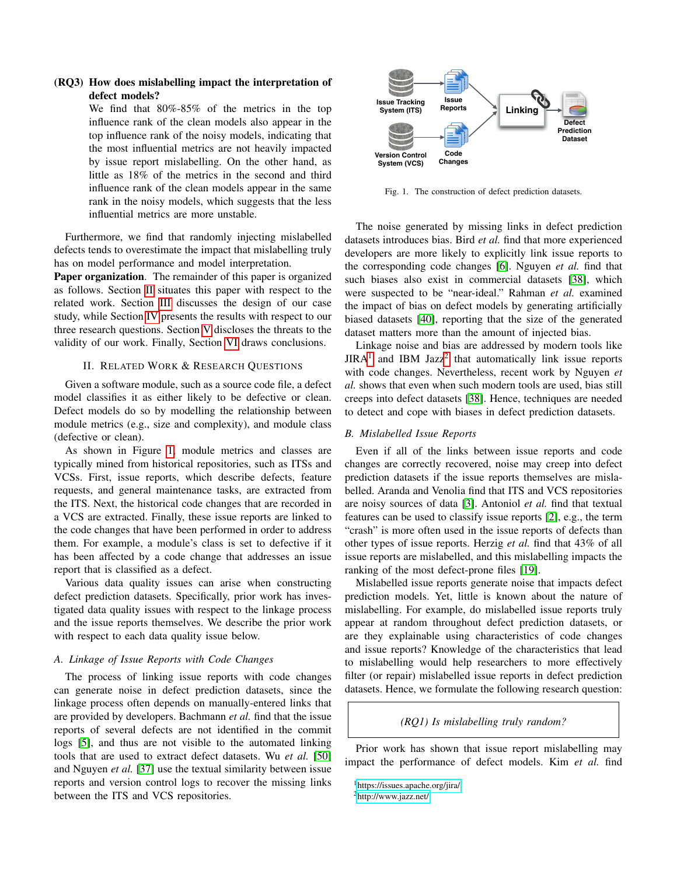# (RQ3) How does mislabelling impact the interpretation of defect models?

We find that 80%-85% of the metrics in the top influence rank of the clean models also appear in the top influence rank of the noisy models, indicating that the most influential metrics are not heavily impacted by issue report mislabelling. On the other hand, as little as 18% of the metrics in the second and third influence rank of the clean models appear in the same rank in the noisy models, which suggests that the less influential metrics are more unstable.

Furthermore, we find that randomly injecting mislabelled defects tends to overestimate the impact that mislabelling truly has on model performance and model interpretation.

Paper organization. The remainder of this paper is organized as follows. Section [II](#page-1-0) situates this paper with respect to the related work. Section [III](#page-2-0) discusses the design of our case study, while Section [IV](#page-5-0) presents the results with respect to our three research questions. Section [V](#page-8-0) discloses the threats to the validity of our work. Finally, Section [VI](#page-9-0) draws conclusions.

## II. RELATED WORK & RESEARCH QUESTIONS

<span id="page-1-0"></span>Given a software module, such as a source code file, a defect model classifies it as either likely to be defective or clean. Defect models do so by modelling the relationship between module metrics (e.g., size and complexity), and module class (defective or clean).

As shown in Figure [1,](#page-1-1) module metrics and classes are typically mined from historical repositories, such as ITSs and VCSs. First, issue reports, which describe defects, feature requests, and general maintenance tasks, are extracted from the ITS. Next, the historical code changes that are recorded in a VCS are extracted. Finally, these issue reports are linked to the code changes that have been performed in order to address them. For example, a module's class is set to defective if it has been affected by a code change that addresses an issue report that is classified as a defect.

Various data quality issues can arise when constructing defect prediction datasets. Specifically, prior work has investigated data quality issues with respect to the linkage process and the issue reports themselves. We describe the prior work with respect to each data quality issue below.

# *A. Linkage of Issue Reports with Code Changes*

The process of linking issue reports with code changes can generate noise in defect prediction datasets, since the linkage process often depends on manually-entered links that are provided by developers. Bachmann *et al.* find that the issue reports of several defects are not identified in the commit logs [\[5\]](#page-10-7), and thus are not visible to the automated linking tools that are used to extract defect datasets. Wu *et al.* [\[50\]](#page-11-14) and Nguyen *et al.* [\[37\]](#page-11-12) use the textual similarity between issue reports and version control logs to recover the missing links between the ITS and VCS repositories.



<span id="page-1-1"></span>Fig. 1. The construction of defect prediction datasets.

The noise generated by missing links in defect prediction datasets introduces bias. Bird *et al.* find that more experienced developers are more likely to explicitly link issue reports to the corresponding code changes [\[6\]](#page-10-8). Nguyen *et al.* find that such biases also exist in commercial datasets [\[38\]](#page-11-15), which were suspected to be "near-ideal." Rahman *et al.* examined the impact of bias on defect models by generating artificially biased datasets [\[40\]](#page-11-16), reporting that the size of the generated dataset matters more than the amount of injected bias.

Linkage noise and bias are addressed by modern tools like  $JIRA<sup>1</sup>$  $JIRA<sup>1</sup>$  $JIRA<sup>1</sup>$  and IBM Jazz<sup>[2](#page-1-3)</sup> that automatically link issue reports with code changes. Nevertheless, recent work by Nguyen *et al.* shows that even when such modern tools are used, bias still creeps into defect datasets [\[38\]](#page-11-15). Hence, techniques are needed to detect and cope with biases in defect prediction datasets.

#### *B. Mislabelled Issue Reports*

Even if all of the links between issue reports and code changes are correctly recovered, noise may creep into defect prediction datasets if the issue reports themselves are mislabelled. Aranda and Venolia find that ITS and VCS repositories are noisy sources of data [\[3\]](#page-10-11). Antoniol *et al.* find that textual features can be used to classify issue reports [\[2\]](#page-10-6), e.g., the term "crash" is more often used in the issue reports of defects than other types of issue reports. Herzig *et al.* find that 43% of all issue reports are mislabelled, and this mislabelling impacts the ranking of the most defect-prone files [\[19\]](#page-10-9).

Mislabelled issue reports generate noise that impacts defect prediction models. Yet, little is known about the nature of mislabelling. For example, do mislabelled issue reports truly appear at random throughout defect prediction datasets, or are they explainable using characteristics of code changes and issue reports? Knowledge of the characteristics that lead to mislabelling would help researchers to more effectively filter (or repair) mislabelled issue reports in defect prediction datasets. Hence, we formulate the following research question:

*(RQ1) Is mislabelling truly random?*

Prior work has shown that issue report mislabelling may impact the performance of defect models. Kim *et al.* find

<span id="page-1-2"></span><sup>1</sup><https://issues.apache.org/jira/>

<span id="page-1-3"></span><sup>2</sup><http://www.jazz.net/>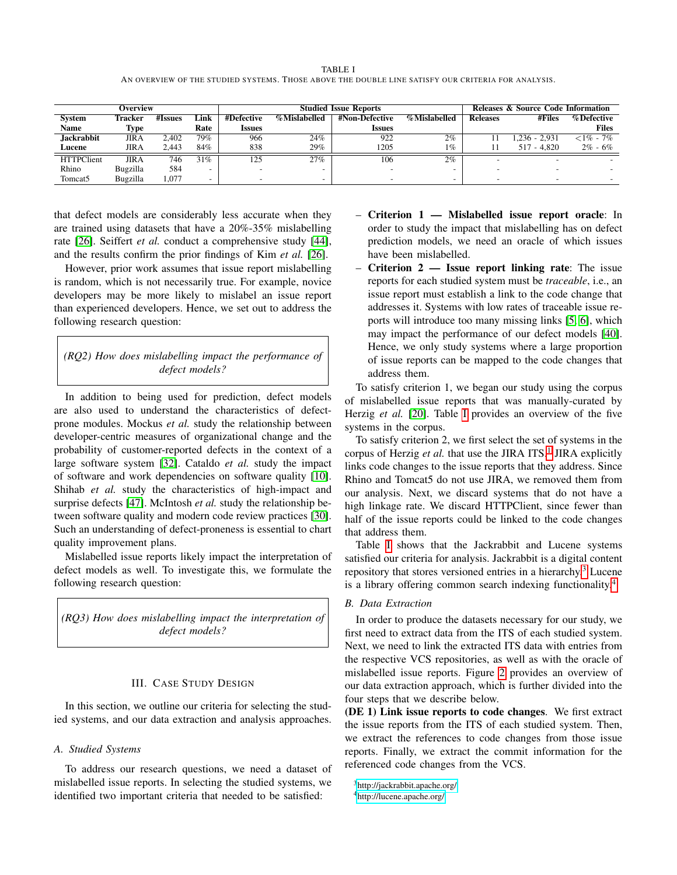TABLE I AN OVERVIEW OF THE STUDIED SYSTEMS. THOSE ABOVE THE DOUBLE LINE SATISFY OUR CRITERIA FOR ANALYSIS.

<span id="page-2-1"></span>

| Overview            |          |         |        | <b>Studied Issue Reports</b> |              |                             |              |                 | Releases & Source Code Information |                             |  |
|---------------------|----------|---------|--------|------------------------------|--------------|-----------------------------|--------------|-----------------|------------------------------------|-----------------------------|--|
| <b>System</b>       | Tracker  | #Issues | Link   | #Defective                   | %Mislabelled | #Non-Defective              | %Mislabelled | <b>Releases</b> | #Files                             | %Defective                  |  |
| <b>Name</b>         | Type     |         | Rate   | <b>Issues</b>                |              | <i><u><b>Issues</b></u></i> |              |                 |                                    | Files                       |  |
| <b>Jackrabbit</b>   | JIRA     | 2.402   | $79\%$ | 966                          | 24%          | 922                         | 2%           |                 | 1.236 - 2.931                      | $\langle 1\% - 7\% \rangle$ |  |
| <b>Lucene</b>       | JIRA     | 2.443   | 84%    | 838                          | 29%          | 1205                        | $1\%$        |                 | $517 - 4.820$                      | $2\% - 6\%$                 |  |
| <b>HTTPClient</b>   | JIRA     | 746     | 31%    | 125                          | 27%          | 106                         | $2\%$        |                 |                                    |                             |  |
| Rhino               | Bugzilla | 584     | $\sim$ |                              |              |                             |              |                 |                                    |                             |  |
| Tomcat <sub>5</sub> | Bugzilla | 1.077   | -      | $\overline{\phantom{0}}$     |              | $\overline{\phantom{0}}$    |              |                 | $\overline{\phantom{0}}$           |                             |  |

that defect models are considerably less accurate when they are trained using datasets that have a 20%-35% mislabelling rate [\[26\]](#page-10-10). Seiffert *et al.* conduct a comprehensive study [\[44\]](#page-11-17), and the results confirm the prior findings of Kim *et al.* [\[26\]](#page-10-10).

However, prior work assumes that issue report mislabelling is random, which is not necessarily true. For example, novice developers may be more likely to mislabel an issue report than experienced developers. Hence, we set out to address the following research question:

*(RQ2) How does mislabelling impact the performance of defect models?*

In addition to being used for prediction, defect models are also used to understand the characteristics of defectprone modules. Mockus *et al.* study the relationship between developer-centric measures of organizational change and the probability of customer-reported defects in the context of a large software system [\[32\]](#page-11-8). Cataldo *et al.* study the impact of software and work dependencies on software quality [\[10\]](#page-10-5). Shihab *et al.* study the characteristics of high-impact and surprise defects [\[47\]](#page-11-10). McIntosh *et al.* study the relationship between software quality and modern code review practices [\[30\]](#page-11-7). Such an understanding of defect-proneness is essential to chart quality improvement plans.

Mislabelled issue reports likely impact the interpretation of defect models as well. To investigate this, we formulate the following research question:

*(RQ3) How does mislabelling impact the interpretation of defect models?*

## III. CASE STUDY DESIGN

<span id="page-2-0"></span>In this section, we outline our criteria for selecting the studied systems, and our data extraction and analysis approaches.

## *A. Studied Systems*

To address our research questions, we need a dataset of mislabelled issue reports. In selecting the studied systems, we identified two important criteria that needed to be satisfied:

- Criterion 1 Mislabelled issue report oracle: In order to study the impact that mislabelling has on defect prediction models, we need an oracle of which issues have been mislabelled.
- Criterion  $2$  Issue report linking rate: The issue reports for each studied system must be *traceable*, i.e., an issue report must establish a link to the code change that addresses it. Systems with low rates of traceable issue reports will introduce too many missing links [\[5,](#page-10-7) [6\]](#page-10-8), which may impact the performance of our defect models [\[40\]](#page-11-16). Hence, we only study systems where a large proportion of issue reports can be mapped to the code changes that address them.

To satisfy criterion 1, we began our study using the corpus of mislabelled issue reports that was manually-curated by Herzig *et al.* [\[20\]](#page-10-12). Table [I](#page-2-1) provides an overview of the five systems in the corpus.

To satisfy criterion 2, we first select the set of systems in the corpus of Herzig et al. that use the JIRA ITS.<sup>[1](#page-0-0)</sup> JIRA explicitly links code changes to the issue reports that they address. Since Rhino and Tomcat5 do not use JIRA, we removed them from our analysis. Next, we discard systems that do not have a high linkage rate. We discard HTTPClient, since fewer than half of the issue reports could be linked to the code changes that address them.

Table [I](#page-2-1) shows that the Jackrabbit and Lucene systems satisfied our criteria for analysis. Jackrabbit is a digital content repository that stores versioned entries in a hierarchy.<sup>[3](#page-2-2)</sup> Lucene is a library offering common search indexing functionality.<sup>[4](#page-2-3)</sup>

## *B. Data Extraction*

In order to produce the datasets necessary for our study, we first need to extract data from the ITS of each studied system. Next, we need to link the extracted ITS data with entries from the respective VCS repositories, as well as with the oracle of mislabelled issue reports. Figure [2](#page-3-0) provides an overview of our data extraction approach, which is further divided into the four steps that we describe below.

(DE 1) Link issue reports to code changes. We first extract the issue reports from the ITS of each studied system. Then, we extract the references to code changes from those issue reports. Finally, we extract the commit information for the referenced code changes from the VCS.

<span id="page-2-2"></span><sup>3</sup><http://jackrabbit.apache.org/>

<span id="page-2-3"></span><sup>4</sup><http://lucene.apache.org/>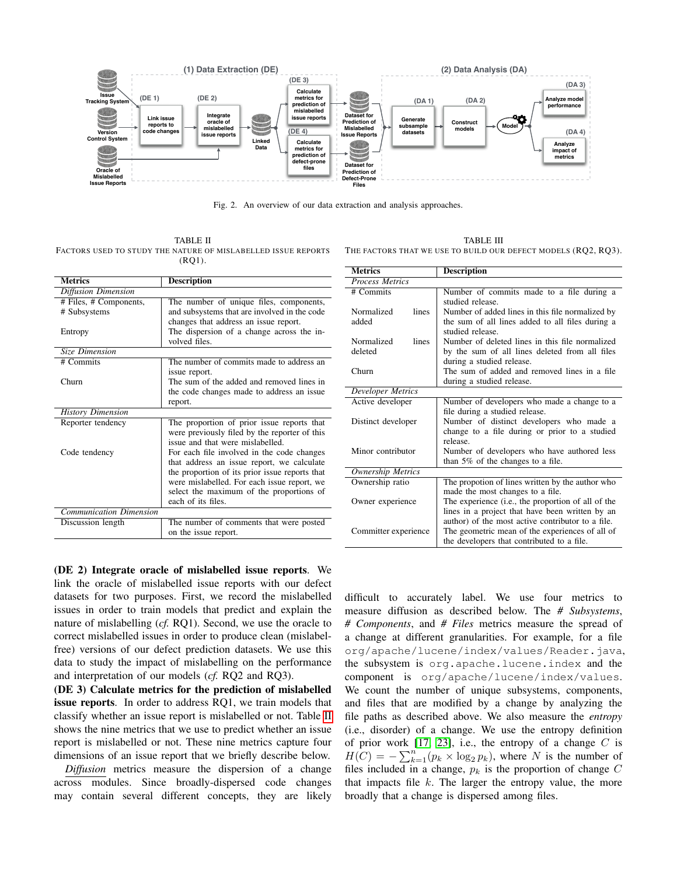

<span id="page-3-0"></span>Fig. 2. An overview of our data extraction and analysis approaches.

<span id="page-3-1"></span>

|  |  | TABLE II  |                                                                |  |  |
|--|--|-----------|----------------------------------------------------------------|--|--|
|  |  |           | FACTORS USED TO STUDY THE NATURE OF MISLABELLED ISSUE REPORTS. |  |  |
|  |  | $(RO1)$ . |                                                                |  |  |

| <b>Metrics</b>                 | <b>Description</b>                             |  |  |  |  |
|--------------------------------|------------------------------------------------|--|--|--|--|
| <b>Diffusion Dimension</b>     |                                                |  |  |  |  |
| # Files, # Components,         | The number of unique files, components,        |  |  |  |  |
| # Subsystems                   | and subsystems that are involved in the code   |  |  |  |  |
|                                | changes that address an issue report.          |  |  |  |  |
| Entropy                        | The dispersion of a change across the in-      |  |  |  |  |
|                                | volved files                                   |  |  |  |  |
| Size Dimension                 |                                                |  |  |  |  |
| # Commits                      | The number of commits made to address an       |  |  |  |  |
|                                | issue report.                                  |  |  |  |  |
| Churn                          | The sum of the added and removed lines in      |  |  |  |  |
|                                | the code changes made to address an issue      |  |  |  |  |
|                                | report.                                        |  |  |  |  |
| <b>History Dimension</b>       |                                                |  |  |  |  |
| Reporter tendency              | The proportion of prior issue reports that     |  |  |  |  |
|                                | were previously filed by the reporter of this  |  |  |  |  |
|                                | issue and that were mislabelled.               |  |  |  |  |
| Code tendency                  | For each file involved in the code changes     |  |  |  |  |
|                                | that address an issue report, we calculate     |  |  |  |  |
|                                | the proportion of its prior issue reports that |  |  |  |  |
|                                | were mislabelled. For each issue report, we    |  |  |  |  |
|                                | select the maximum of the proportions of       |  |  |  |  |
|                                | each of its files.                             |  |  |  |  |
| <b>Communication Dimension</b> |                                                |  |  |  |  |
| Discussion length              | The number of comments that were posted        |  |  |  |  |
|                                | on the issue report.                           |  |  |  |  |

<span id="page-3-2"></span>TABLE III THE FACTORS THAT WE USE TO BUILD OUR DEFECT MODELS (RQ2, RQ3).

| <b>Metrics</b>           | <b>Description</b>                                        |  |  |  |
|--------------------------|-----------------------------------------------------------|--|--|--|
| <b>Process Metrics</b>   |                                                           |  |  |  |
| # Commits                | Number of commits made to a file during a                 |  |  |  |
|                          | studied release.                                          |  |  |  |
| lines<br>Normalized      | Number of added lines in this file normalized by          |  |  |  |
| added                    | the sum of all lines added to all files during a          |  |  |  |
|                          | studied release.                                          |  |  |  |
| Normalized<br>lines      | Number of deleted lines in this file normalized           |  |  |  |
| deleted                  | by the sum of all lines deleted from all files            |  |  |  |
|                          | during a studied release.                                 |  |  |  |
| Churn                    | The sum of added and removed lines in a file              |  |  |  |
|                          | during a studied release.                                 |  |  |  |
| Developer Metrics        |                                                           |  |  |  |
| Active developer         | Number of developers who made a change to a               |  |  |  |
|                          | file during a studied release.                            |  |  |  |
| Distinct developer       | Number of distinct developers who made a                  |  |  |  |
|                          | change to a file during or prior to a studied<br>release. |  |  |  |
| Minor contributor        | Number of developers who have authored less               |  |  |  |
|                          | than $5\%$ of the changes to a file.                      |  |  |  |
| <b>Ownership Metrics</b> |                                                           |  |  |  |
| Ownership ratio          | The propotion of lines written by the author who          |  |  |  |
|                          | made the most changes to a file.                          |  |  |  |
| Owner experience         | The experience (i.e., the proportion of all of the        |  |  |  |
|                          | lines in a project that have been written by an           |  |  |  |
|                          | author) of the most active contributor to a file.         |  |  |  |
| Committer experience     | The geometric mean of the experiences of all of           |  |  |  |
|                          | the developers that contributed to a file.                |  |  |  |
|                          |                                                           |  |  |  |

(DE 2) Integrate oracle of mislabelled issue reports. We link the oracle of mislabelled issue reports with our defect datasets for two purposes. First, we record the mislabelled issues in order to train models that predict and explain the nature of mislabelling (*cf.* RQ1). Second, we use the oracle to correct mislabelled issues in order to produce clean (mislabelfree) versions of our defect prediction datasets. We use this data to study the impact of mislabelling on the performance and interpretation of our models (*cf.* RQ2 and RQ3).

(DE 3) Calculate metrics for the prediction of mislabelled issue reports. In order to address RQ1, we train models that classify whether an issue report is mislabelled or not. Table [II](#page-3-1) shows the nine metrics that we use to predict whether an issue report is mislabelled or not. These nine metrics capture four dimensions of an issue report that we briefly describe below.

*Diffusion* metrics measure the dispersion of a change across modules. Since broadly-dispersed code changes may contain several different concepts, they are likely difficult to accurately label. We use four metrics to measure diffusion as described below. The *# Subsystems*, *# Components*, and *# Files* metrics measure the spread of a change at different granularities. For example, for a file org/apache/lucene/index/values/Reader.java, the subsystem is org.apache.lucene.index and the component is org/apache/lucene/index/values. We count the number of unique subsystems, components, and files that are modified by a change by analyzing the file paths as described above. We also measure the *entropy* (i.e., disorder) of a change. We use the entropy definition of prior work  $[17, 23]$  $[17, 23]$ , i.e., the entropy of a change  $C$  is  $H(C) = -\sum_{k=1}^{n} (p_k \times \log_2 p_k)$ , where N is the number of files included in a change,  $p_k$  is the proportion of change C that impacts file  $k$ . The larger the entropy value, the more broadly that a change is dispersed among files.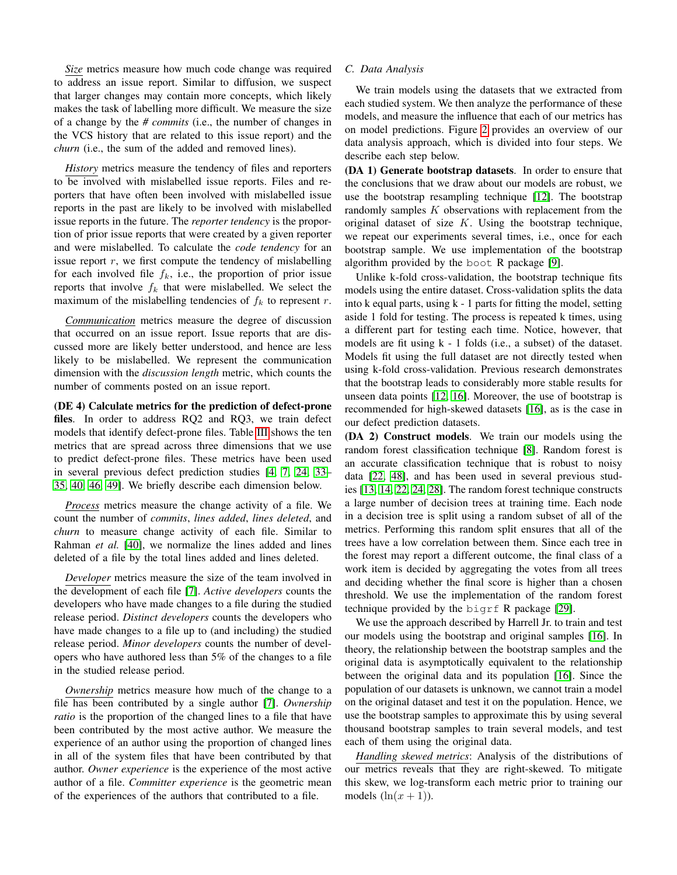*Size* metrics measure how much code change was required to address an issue report. Similar to diffusion, we suspect that larger changes may contain more concepts, which likely makes the task of labelling more difficult. We measure the size of a change by the *# commits* (i.e., the number of changes in the VCS history that are related to this issue report) and the *churn* (i.e., the sum of the added and removed lines).

*History* metrics measure the tendency of files and reporters to be involved with mislabelled issue reports. Files and reporters that have often been involved with mislabelled issue reports in the past are likely to be involved with mislabelled issue reports in the future. The *reporter tendency* is the proportion of prior issue reports that were created by a given reporter and were mislabelled. To calculate the *code tendency* for an issue report  $r$ , we first compute the tendency of mislabelling for each involved file  $f_k$ , i.e., the proportion of prior issue reports that involve  $f_k$  that were mislabelled. We select the maximum of the mislabelling tendencies of  $f_k$  to represent r.

*Communication* metrics measure the degree of discussion that occurred on an issue report. Issue reports that are discussed more are likely better understood, and hence are less likely to be mislabelled. We represent the communication dimension with the *discussion length* metric, which counts the number of comments posted on an issue report.

(DE 4) Calculate metrics for the prediction of defect-prone files. In order to address RQ2 and RQ3, we train defect models that identify defect-prone files. Table [III](#page-3-2) shows the ten metrics that are spread across three dimensions that we use to predict defect-prone files. These metrics have been used in several previous defect prediction studies [\[4,](#page-10-14) [7,](#page-10-15) [24,](#page-10-16) [33–](#page-11-2) [35,](#page-11-18) [40,](#page-11-16) [46,](#page-11-9) [49\]](#page-11-19). We briefly describe each dimension below.

*Process* metrics measure the change activity of a file. We count the number of *commits*, *lines added*, *lines deleted*, and *churn* to measure change activity of each file. Similar to Rahman *et al.* [\[40\]](#page-11-16), we normalize the lines added and lines deleted of a file by the total lines added and lines deleted.

*Developer* metrics measure the size of the team involved in the development of each file [\[7\]](#page-10-15). *Active developers* counts the developers who have made changes to a file during the studied release period. *Distinct developers* counts the developers who have made changes to a file up to (and including) the studied release period. *Minor developers* counts the number of developers who have authored less than 5% of the changes to a file in the studied release period.

*Ownership* metrics measure how much of the change to a file has been contributed by a single author [\[7\]](#page-10-15). *Ownership ratio* is the proportion of the changed lines to a file that have been contributed by the most active author. We measure the experience of an author using the proportion of changed lines in all of the system files that have been contributed by that author. *Owner experience* is the experience of the most active author of a file. *Committer experience* is the geometric mean of the experiences of the authors that contributed to a file.

#### *C. Data Analysis*

We train models using the datasets that we extracted from each studied system. We then analyze the performance of these models, and measure the influence that each of our metrics has on model predictions. Figure [2](#page-3-0) provides an overview of our data analysis approach, which is divided into four steps. We describe each step below.

(DA 1) Generate bootstrap datasets. In order to ensure that the conclusions that we draw about our models are robust, we use the bootstrap resampling technique [\[12\]](#page-10-17). The bootstrap randomly samples  $K$  observations with replacement from the original dataset of size  $K$ . Using the bootstrap technique, we repeat our experiments several times, i.e., once for each bootstrap sample. We use implementation of the bootstrap algorithm provided by the boot R package [\[9\]](#page-10-18).

Unlike k-fold cross-validation, the bootstrap technique fits models using the entire dataset. Cross-validation splits the data into k equal parts, using k - 1 parts for fitting the model, setting aside 1 fold for testing. The process is repeated k times, using a different part for testing each time. Notice, however, that models are fit using k - 1 folds (i.e., a subset) of the dataset. Models fit using the full dataset are not directly tested when using k-fold cross-validation. Previous research demonstrates that the bootstrap leads to considerably more stable results for unseen data points [\[12,](#page-10-17) [16\]](#page-10-19). Moreover, the use of bootstrap is recommended for high-skewed datasets [\[16\]](#page-10-19), as is the case in our defect prediction datasets.

(DA 2) Construct models. We train our models using the random forest classification technique [\[8\]](#page-10-20). Random forest is an accurate classification technique that is robust to noisy data [\[22,](#page-10-21) [48\]](#page-11-20), and has been used in several previous studies [\[13,](#page-10-22) [14,](#page-10-23) [22,](#page-10-21) [24,](#page-10-16) [28\]](#page-11-21). The random forest technique constructs a large number of decision trees at training time. Each node in a decision tree is split using a random subset of all of the metrics. Performing this random split ensures that all of the trees have a low correlation between them. Since each tree in the forest may report a different outcome, the final class of a work item is decided by aggregating the votes from all trees and deciding whether the final score is higher than a chosen threshold. We use the implementation of the random forest technique provided by the bigrf R package  $[29]$ .

We use the approach described by Harrell Jr. to train and test our models using the bootstrap and original samples [\[16\]](#page-10-19). In theory, the relationship between the bootstrap samples and the original data is asymptotically equivalent to the relationship between the original data and its population [\[16\]](#page-10-19). Since the population of our datasets is unknown, we cannot train a model on the original dataset and test it on the population. Hence, we use the bootstrap samples to approximate this by using several thousand bootstrap samples to train several models, and test each of them using the original data.

*Handling skewed metrics*: Analysis of the distributions of our metrics reveals that they are right-skewed. To mitigate this skew, we log-transform each metric prior to training our models  $(\ln(x + 1))$ .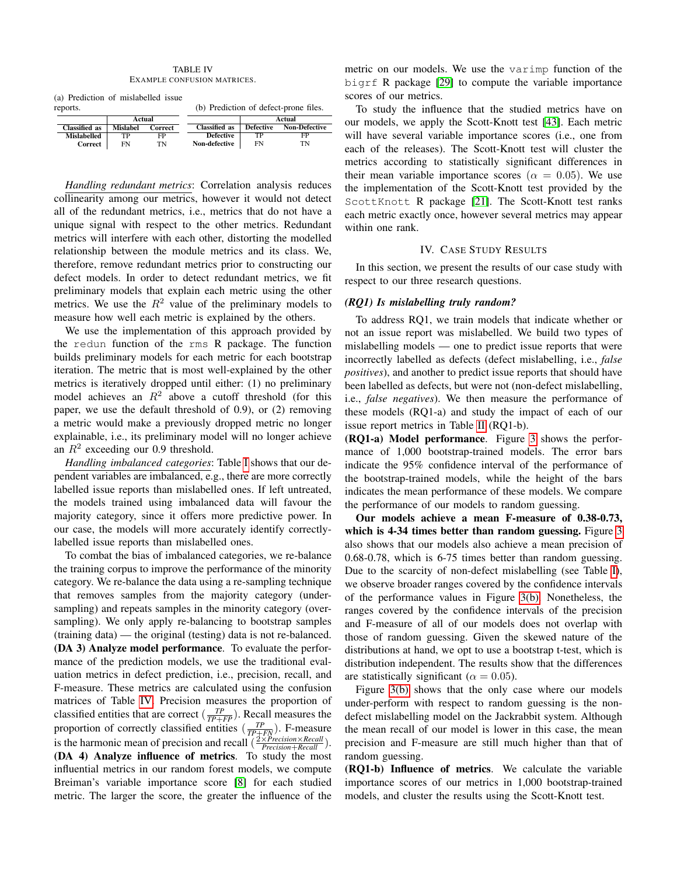<span id="page-5-1"></span>TABLE IV EXAMPLE CONFUSION MATRICES.

(a) Prediction of mislabelled issue

| reports.             |          |                | (b) Prediction of defect-prone files. |           |                      |  |  |
|----------------------|----------|----------------|---------------------------------------|-----------|----------------------|--|--|
| Actual               |          |                |                                       | Actual    |                      |  |  |
| <b>Classified as</b> | Mislabel | <b>Correct</b> | <b>Classified as</b>                  | Defective | <b>Non-Defective</b> |  |  |
| <b>Mislabelled</b>   | TР       | FP             | <b>Defective</b>                      | TP        | FP                   |  |  |
| Correct              | FN       | TN             | Non-defective                         | FN        | TN                   |  |  |

*Handling redundant metrics*: Correlation analysis reduces collinearity among our metrics, however it would not detect all of the redundant metrics, i.e., metrics that do not have a unique signal with respect to the other metrics. Redundant metrics will interfere with each other, distorting the modelled relationship between the module metrics and its class. We, therefore, remove redundant metrics prior to constructing our defect models. In order to detect redundant metrics, we fit preliminary models that explain each metric using the other metrics. We use the  $R^2$  value of the preliminary models to measure how well each metric is explained by the others.

We use the implementation of this approach provided by the redun function of the rms R package. The function builds preliminary models for each metric for each bootstrap iteration. The metric that is most well-explained by the other metrics is iteratively dropped until either: (1) no preliminary model achieves an  $R^2$  above a cutoff threshold (for this paper, we use the default threshold of 0.9), or (2) removing a metric would make a previously dropped metric no longer explainable, i.e., its preliminary model will no longer achieve an  $R^2$  exceeding our 0.9 threshold.

*Handling imbalanced categories*: Table [I](#page-2-1) shows that our dependent variables are imbalanced, e.g., there are more correctly labelled issue reports than mislabelled ones. If left untreated, the models trained using imbalanced data will favour the majority category, since it offers more predictive power. In our case, the models will more accurately identify correctlylabelled issue reports than mislabelled ones.

To combat the bias of imbalanced categories, we re-balance the training corpus to improve the performance of the minority category. We re-balance the data using a re-sampling technique that removes samples from the majority category (undersampling) and repeats samples in the minority category (oversampling). We only apply re-balancing to bootstrap samples (training data) — the original (testing) data is not re-balanced. (DA 3) Analyze model performance. To evaluate the performance of the prediction models, we use the traditional evaluation metrics in defect prediction, i.e., precision, recall, and F-measure. These metrics are calculated using the confusion matrices of Table [IV.](#page-5-1) Precision measures the proportion of classified entities that are correct  $(\frac{TP}{TP+FP})$ . Recall measures the proportion of correctly classified entities  $(\frac{TP}{TP+FN})$ . F-measure is the harmonic mean of precision and recall  $\left(\frac{2 \times Precision \times Recall}{Precision + Recall}\right)$ . (DA 4) Analyze influence of metrics. To study the most influential metrics in our random forest models, we compute Breiman's variable importance score [\[8\]](#page-10-20) for each studied metric. The larger the score, the greater the influence of the

metric on our models. We use the varimp function of the bigrf R package [\[29\]](#page-11-22) to compute the variable importance scores of our metrics.

To study the influence that the studied metrics have on our models, we apply the Scott-Knott test [\[43\]](#page-11-23). Each metric will have several variable importance scores (i.e., one from each of the releases). The Scott-Knott test will cluster the metrics according to statistically significant differences in their mean variable importance scores ( $\alpha = 0.05$ ). We use the implementation of the Scott-Knott test provided by the ScottKnott R package [\[21\]](#page-10-24). The Scott-Knott test ranks each metric exactly once, however several metrics may appear within one rank.

#### IV. CASE STUDY RESULTS

<span id="page-5-0"></span>In this section, we present the results of our case study with respect to our three research questions.

## *(RQ1) Is mislabelling truly random?*

To address RQ1, we train models that indicate whether or not an issue report was mislabelled. We build two types of mislabelling models — one to predict issue reports that were incorrectly labelled as defects (defect mislabelling, i.e., *false positives*), and another to predict issue reports that should have been labelled as defects, but were not (non-defect mislabelling, i.e., *false negatives*). We then measure the performance of these models (RQ1-a) and study the impact of each of our issue report metrics in Table [II](#page-3-1) (RQ1-b).

(RQ1-a) Model performance. Figure [3](#page-6-0) shows the performance of 1,000 bootstrap-trained models. The error bars indicate the 95% confidence interval of the performance of the bootstrap-trained models, while the height of the bars indicates the mean performance of these models. We compare the performance of our models to random guessing.

Our models achieve a mean F-measure of 0.38-0.73, which is 4-34 times better than random guessing. Figure [3](#page-6-0) also shows that our models also achieve a mean precision of 0.68-0.78, which is 6-75 times better than random guessing. Due to the scarcity of non-defect mislabelling (see Table [I\)](#page-2-1), we observe broader ranges covered by the confidence intervals of the performance values in Figure [3\(b\).](#page-6-1) Nonetheless, the ranges covered by the confidence intervals of the precision and F-measure of all of our models does not overlap with those of random guessing. Given the skewed nature of the distributions at hand, we opt to use a bootstrap t-test, which is distribution independent. The results show that the differences are statistically significant ( $\alpha = 0.05$ ).

Figure [3\(b\)](#page-6-1) shows that the only case where our models under-perform with respect to random guessing is the nondefect mislabelling model on the Jackrabbit system. Although the mean recall of our model is lower in this case, the mean precision and F-measure are still much higher than that of random guessing.

(RQ1-b) Influence of metrics. We calculate the variable importance scores of our metrics in 1,000 bootstrap-trained models, and cluster the results using the Scott-Knott test.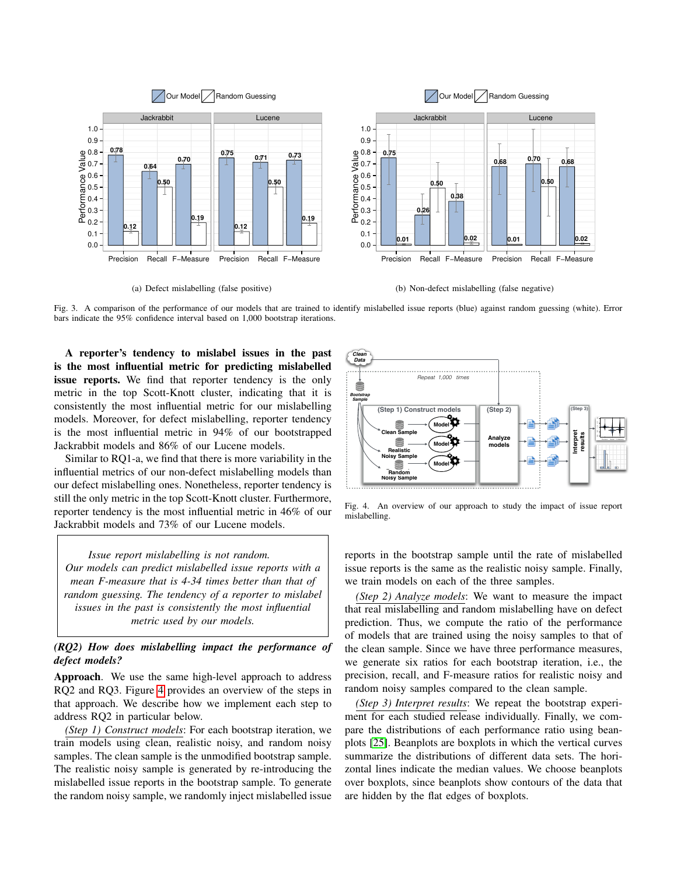

(a) Defect mislabelling (false positive)

<span id="page-6-1"></span>(b) Non-defect mislabelling (false negative)

<span id="page-6-0"></span>Fig. 3. A comparison of the performance of our models that are trained to identify mislabelled issue reports (blue) against random guessing (white). Error bars indicate the 95% confidence interval based on 1,000 bootstrap iterations.

A reporter's tendency to mislabel issues in the past is the most influential metric for predicting mislabelled issue reports. We find that reporter tendency is the only metric in the top Scott-Knott cluster, indicating that it is consistently the most influential metric for our mislabelling models. Moreover, for defect mislabelling, reporter tendency is the most influential metric in 94% of our bootstrapped Jackrabbit models and 86% of our Lucene models.

Similar to RQ1-a, we find that there is more variability in the influential metrics of our non-defect mislabelling models than our defect mislabelling ones. Nonetheless, reporter tendency is still the only metric in the top Scott-Knott cluster. Furthermore, reporter tendency is the most influential metric in 46% of our Jackrabbit models and 73% of our Lucene models.

*Issue report mislabelling is not random. Our models can predict mislabelled issue reports with a mean F-measure that is 4-34 times better than that of random guessing. The tendency of a reporter to mislabel issues in the past is consistently the most influential metric used by our models.*

# *(RQ2) How does mislabelling impact the performance of defect models?*

Approach. We use the same high-level approach to address RQ2 and RQ3. Figure [4](#page-6-2) provides an overview of the steps in that approach. We describe how we implement each step to address RQ2 in particular below.

*(Step 1) Construct models*: For each bootstrap iteration, we train models using clean, realistic noisy, and random noisy samples. The clean sample is the unmodified bootstrap sample. The realistic noisy sample is generated by re-introducing the mislabelled issue reports in the bootstrap sample. To generate the random noisy sample, we randomly inject mislabelled issue



<span id="page-6-2"></span>Fig. 4. An overview of our approach to study the impact of issue report mislabelling.

reports in the bootstrap sample until the rate of mislabelled issue reports is the same as the realistic noisy sample. Finally, we train models on each of the three samples.

*(Step 2) Analyze models*: We want to measure the impact that real mislabelling and random mislabelling have on defect prediction. Thus, we compute the ratio of the performance of models that are trained using the noisy samples to that of the clean sample. Since we have three performance measures, we generate six ratios for each bootstrap iteration, i.e., the precision, recall, and F-measure ratios for realistic noisy and random noisy samples compared to the clean sample.

*(Step 3) Interpret results*: We repeat the bootstrap experiment for each studied release individually. Finally, we compare the distributions of each performance ratio using beanplots [\[25\]](#page-10-25). Beanplots are boxplots in which the vertical curves summarize the distributions of different data sets. The horizontal lines indicate the median values. We choose beanplots over boxplots, since beanplots show contours of the data that are hidden by the flat edges of boxplots.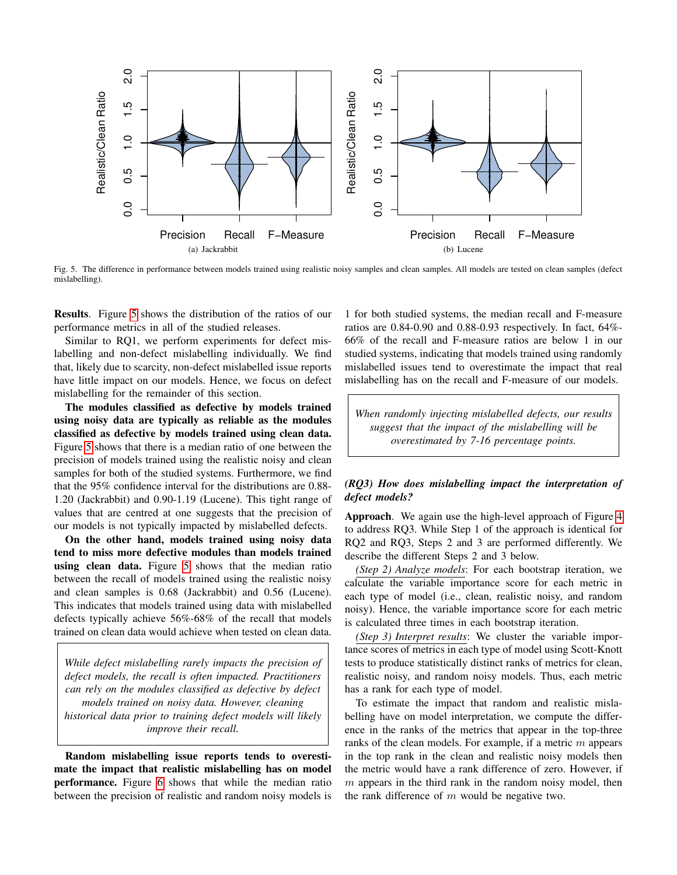

<span id="page-7-0"></span>Fig. 5. The difference in performance between models trained using realistic noisy samples and clean samples. All models are tested on clean samples (defect mislabelling).

Results. Figure [5](#page-7-0) shows the distribution of the ratios of our performance metrics in all of the studied releases.

Similar to RQ1, we perform experiments for defect mislabelling and non-defect mislabelling individually. We find that, likely due to scarcity, non-defect mislabelled issue reports have little impact on our models. Hence, we focus on defect mislabelling for the remainder of this section.

The modules classified as defective by models trained using noisy data are typically as reliable as the modules classified as defective by models trained using clean data. Figure [5](#page-7-0) shows that there is a median ratio of one between the precision of models trained using the realistic noisy and clean samples for both of the studied systems. Furthermore, we find that the 95% confidence interval for the distributions are 0.88- 1.20 (Jackrabbit) and 0.90-1.19 (Lucene). This tight range of values that are centred at one suggests that the precision of our models is not typically impacted by mislabelled defects.

On the other hand, models trained using noisy data tend to miss more defective modules than models trained using clean data. Figure [5](#page-7-0) shows that the median ratio between the recall of models trained using the realistic noisy and clean samples is 0.68 (Jackrabbit) and 0.56 (Lucene). This indicates that models trained using data with mislabelled defects typically achieve 56%-68% of the recall that models trained on clean data would achieve when tested on clean data.

*While defect mislabelling rarely impacts the precision of defect models, the recall is often impacted. Practitioners can rely on the modules classified as defective by defect models trained on noisy data. However, cleaning historical data prior to training defect models will likely improve their recall.*

Random mislabelling issue reports tends to overestimate the impact that realistic mislabelling has on model performance. Figure [6](#page-8-1) shows that while the median ratio between the precision of realistic and random noisy models is

1 for both studied systems, the median recall and F-measure ratios are 0.84-0.90 and 0.88-0.93 respectively. In fact, 64%- 66% of the recall and F-measure ratios are below 1 in our studied systems, indicating that models trained using randomly mislabelled issues tend to overestimate the impact that real mislabelling has on the recall and F-measure of our models.

*When randomly injecting mislabelled defects, our results suggest that the impact of the mislabelling will be overestimated by 7-16 percentage points.*

# *(RQ3) How does mislabelling impact the interpretation of defect models?*

Approach. We again use the high-level approach of Figure [4](#page-6-2) to address RQ3. While Step 1 of the approach is identical for RQ2 and RQ3, Steps 2 and 3 are performed differently. We describe the different Steps 2 and 3 below.

*(Step 2) Analyze models*: For each bootstrap iteration, we calculate the variable importance score for each metric in each type of model (i.e., clean, realistic noisy, and random noisy). Hence, the variable importance score for each metric is calculated three times in each bootstrap iteration.

*(Step 3) Interpret results*: We cluster the variable importance scores of metrics in each type of model using Scott-Knott tests to produce statistically distinct ranks of metrics for clean, realistic noisy, and random noisy models. Thus, each metric has a rank for each type of model.

To estimate the impact that random and realistic mislabelling have on model interpretation, we compute the difference in the ranks of the metrics that appear in the top-three ranks of the clean models. For example, if a metric m appears in the top rank in the clean and realistic noisy models then the metric would have a rank difference of zero. However, if  $m$  appears in the third rank in the random noisy model, then the rank difference of  $m$  would be negative two.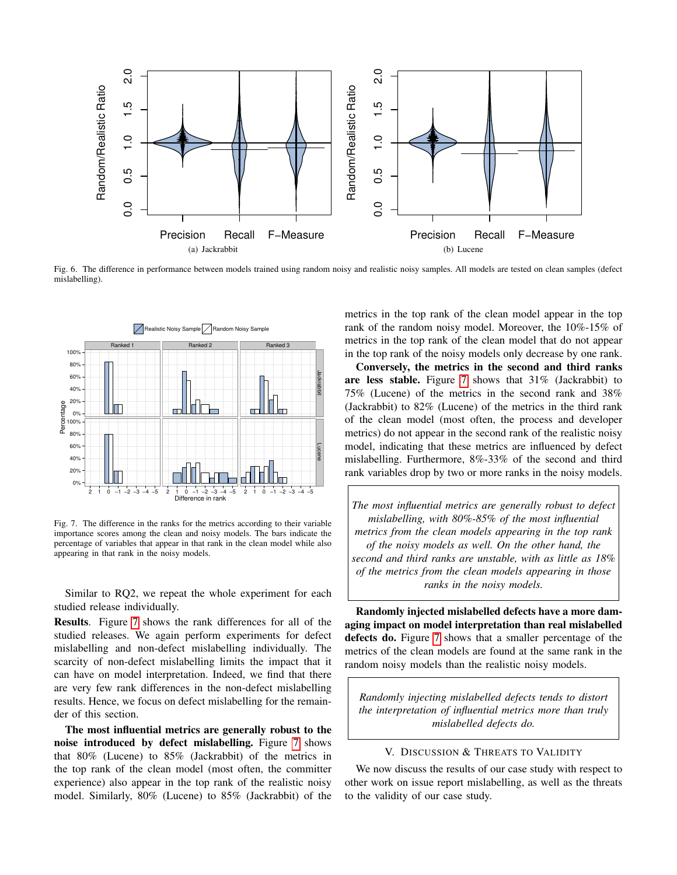

<span id="page-8-1"></span>Fig. 6. The difference in performance between models trained using random noisy and realistic noisy samples. All models are tested on clean samples (defect mislabelling).



<span id="page-8-2"></span>Fig. 7. The difference in the ranks for the metrics according to their variable importance scores among the clean and noisy models. The bars indicate the percentage of variables that appear in that rank in the clean model while also appearing in that rank in the noisy models.

Similar to RQ2, we repeat the whole experiment for each studied release individually.

Results. Figure [7](#page-8-2) shows the rank differences for all of the studied releases. We again perform experiments for defect mislabelling and non-defect mislabelling individually. The scarcity of non-defect mislabelling limits the impact that it can have on model interpretation. Indeed, we find that there are very few rank differences in the non-defect mislabelling results. Hence, we focus on defect mislabelling for the remainder of this section.

The most influential metrics are generally robust to the noise introduced by defect mislabelling. Figure [7](#page-8-2) shows that 80% (Lucene) to 85% (Jackrabbit) of the metrics in the top rank of the clean model (most often, the committer experience) also appear in the top rank of the realistic noisy model. Similarly, 80% (Lucene) to 85% (Jackrabbit) of the

metrics in the top rank of the clean model appear in the top rank of the random noisy model. Moreover, the 10%-15% of metrics in the top rank of the clean model that do not appear in the top rank of the noisy models only decrease by one rank.

Conversely, the metrics in the second and third ranks are less stable. Figure [7](#page-8-2) shows that 31% (Jackrabbit) to 75% (Lucene) of the metrics in the second rank and 38% (Jackrabbit) to 82% (Lucene) of the metrics in the third rank of the clean model (most often, the process and developer metrics) do not appear in the second rank of the realistic noisy model, indicating that these metrics are influenced by defect mislabelling. Furthermore, 8%-33% of the second and third rank variables drop by two or more ranks in the noisy models.

*The most influential metrics are generally robust to defect mislabelling, with 80%-85% of the most influential metrics from the clean models appearing in the top rank of the noisy models as well. On the other hand, the second and third ranks are unstable, with as little as 18% of the metrics from the clean models appearing in those ranks in the noisy models.*

Randomly injected mislabelled defects have a more damaging impact on model interpretation than real mislabelled defects do. Figure [7](#page-8-2) shows that a smaller percentage of the metrics of the clean models are found at the same rank in the random noisy models than the realistic noisy models.

*Randomly injecting mislabelled defects tends to distort the interpretation of influential metrics more than truly mislabelled defects do.*

## V. DISCUSSION & THREATS TO VALIDITY

<span id="page-8-0"></span>We now discuss the results of our case study with respect to other work on issue report mislabelling, as well as the threats to the validity of our case study.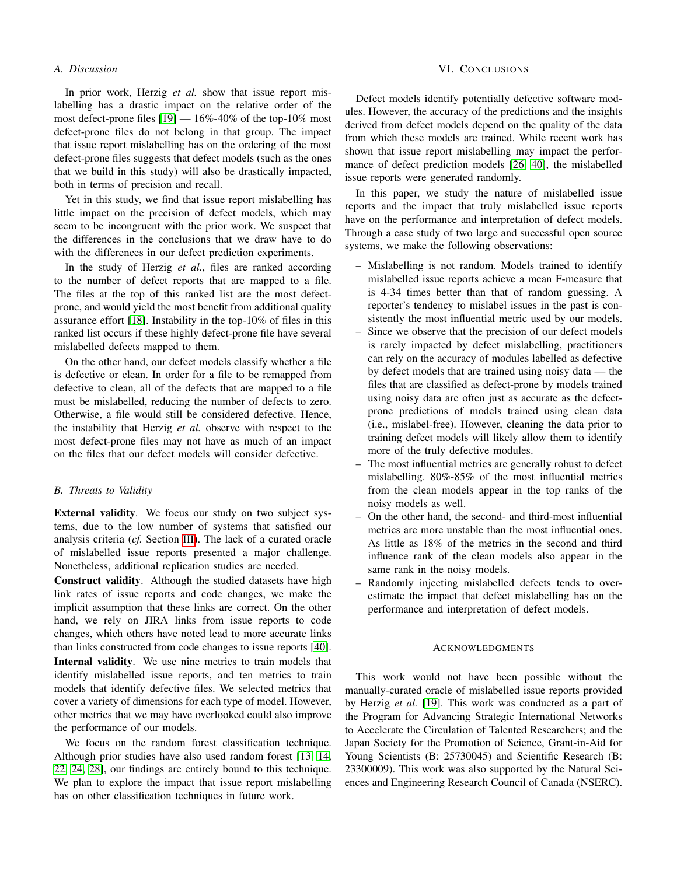#### *A. Discussion*

In prior work, Herzig *et al.* show that issue report mislabelling has a drastic impact on the relative order of the most defect-prone files  $[19] - 16\% - 40\%$  $[19] - 16\% - 40\%$  of the top-10% most defect-prone files do not belong in that group. The impact that issue report mislabelling has on the ordering of the most defect-prone files suggests that defect models (such as the ones that we build in this study) will also be drastically impacted, both in terms of precision and recall.

Yet in this study, we find that issue report mislabelling has little impact on the precision of defect models, which may seem to be incongruent with the prior work. We suspect that the differences in the conclusions that we draw have to do with the differences in our defect prediction experiments.

In the study of Herzig *et al.*, files are ranked according to the number of defect reports that are mapped to a file. The files at the top of this ranked list are the most defectprone, and would yield the most benefit from additional quality assurance effort [\[18\]](#page-10-26). Instability in the top-10% of files in this ranked list occurs if these highly defect-prone file have several mislabelled defects mapped to them.

On the other hand, our defect models classify whether a file is defective or clean. In order for a file to be remapped from defective to clean, all of the defects that are mapped to a file must be mislabelled, reducing the number of defects to zero. Otherwise, a file would still be considered defective. Hence, the instability that Herzig *et al.* observe with respect to the most defect-prone files may not have as much of an impact on the files that our defect models will consider defective.

## *B. Threats to Validity*

External validity. We focus our study on two subject systems, due to the low number of systems that satisfied our analysis criteria (*cf.* Section [III\)](#page-2-0). The lack of a curated oracle of mislabelled issue reports presented a major challenge. Nonetheless, additional replication studies are needed.

Construct validity. Although the studied datasets have high link rates of issue reports and code changes, we make the implicit assumption that these links are correct. On the other hand, we rely on JIRA links from issue reports to code changes, which others have noted lead to more accurate links than links constructed from code changes to issue reports [\[40\]](#page-11-16). Internal validity. We use nine metrics to train models that identify mislabelled issue reports, and ten metrics to train models that identify defective files. We selected metrics that cover a variety of dimensions for each type of model. However, other metrics that we may have overlooked could also improve the performance of our models.

We focus on the random forest classification technique. Although prior studies have also used random forest [\[13,](#page-10-22) [14,](#page-10-23) [22,](#page-10-21) [24,](#page-10-16) [28\]](#page-11-21), our findings are entirely bound to this technique. We plan to explore the impact that issue report mislabelling has on other classification techniques in future work.

#### VI. CONCLUSIONS

<span id="page-9-0"></span>Defect models identify potentially defective software modules. However, the accuracy of the predictions and the insights derived from defect models depend on the quality of the data from which these models are trained. While recent work has shown that issue report mislabelling may impact the performance of defect prediction models [\[26,](#page-10-10) [40\]](#page-11-16), the mislabelled issue reports were generated randomly.

In this paper, we study the nature of mislabelled issue reports and the impact that truly mislabelled issue reports have on the performance and interpretation of defect models. Through a case study of two large and successful open source systems, we make the following observations:

- Mislabelling is not random. Models trained to identify mislabelled issue reports achieve a mean F-measure that is 4-34 times better than that of random guessing. A reporter's tendency to mislabel issues in the past is consistently the most influential metric used by our models.
- Since we observe that the precision of our defect models is rarely impacted by defect mislabelling, practitioners can rely on the accuracy of modules labelled as defective by defect models that are trained using noisy data — the files that are classified as defect-prone by models trained using noisy data are often just as accurate as the defectprone predictions of models trained using clean data (i.e., mislabel-free). However, cleaning the data prior to training defect models will likely allow them to identify more of the truly defective modules.
- The most influential metrics are generally robust to defect mislabelling. 80%-85% of the most influential metrics from the clean models appear in the top ranks of the noisy models as well.
- On the other hand, the second- and third-most influential metrics are more unstable than the most influential ones. As little as 18% of the metrics in the second and third influence rank of the clean models also appear in the same rank in the noisy models.
- Randomly injecting mislabelled defects tends to overestimate the impact that defect mislabelling has on the performance and interpretation of defect models.

#### ACKNOWLEDGMENTS

This work would not have been possible without the manually-curated oracle of mislabelled issue reports provided by Herzig *et al.* [\[19\]](#page-10-9). This work was conducted as a part of the Program for Advancing Strategic International Networks to Accelerate the Circulation of Talented Researchers; and the Japan Society for the Promotion of Science, Grant-in-Aid for Young Scientists (B: 25730045) and Scientific Research (B: 23300009). This work was also supported by the Natural Sciences and Engineering Research Council of Canada (NSERC).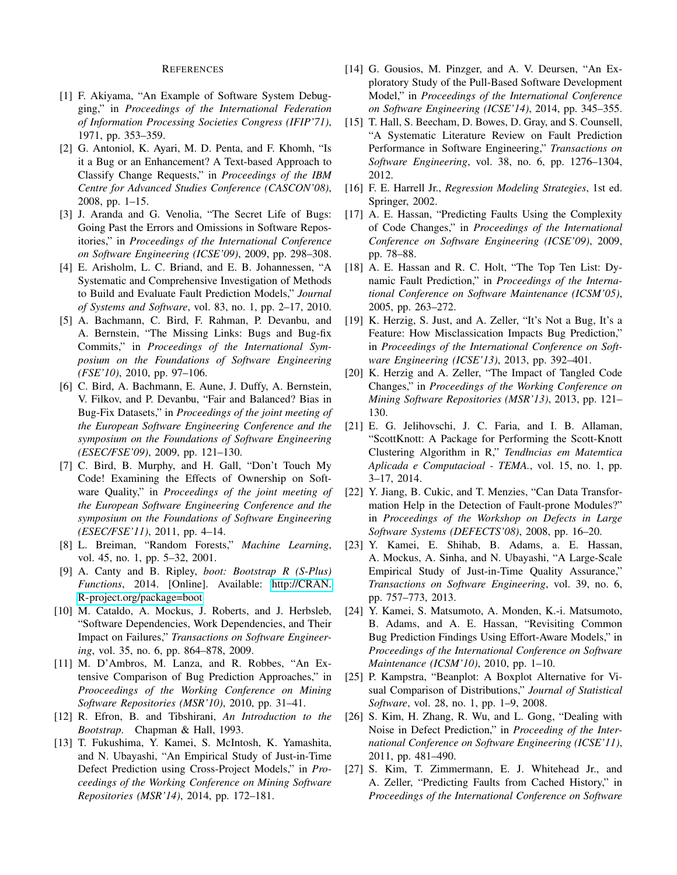#### REFERENCES

- <span id="page-10-1"></span>[1] F. Akiyama, "An Example of Software System Debugging," in *Proceedings of the International Federation of Information Processing Societies Congress (IFIP'71)*, 1971, pp. 353–359.
- <span id="page-10-6"></span>[2] G. Antoniol, K. Ayari, M. D. Penta, and F. Khomh, "Is it a Bug or an Enhancement? A Text-based Approach to Classify Change Requests," in *Proceedings of the IBM Centre for Advanced Studies Conference (CASCON'08)*, 2008, pp. 1–15.
- <span id="page-10-11"></span>[3] J. Aranda and G. Venolia, "The Secret Life of Bugs: Going Past the Errors and Omissions in Software Repositories," in *Proceedings of the International Conference on Software Engineering (ICSE'09)*, 2009, pp. 298–308.
- <span id="page-10-14"></span>[4] E. Arisholm, L. C. Briand, and E. B. Johannessen, "A Systematic and Comprehensive Investigation of Methods to Build and Evaluate Fault Prediction Models," *Journal of Systems and Software*, vol. 83, no. 1, pp. 2–17, 2010.
- <span id="page-10-7"></span>[5] A. Bachmann, C. Bird, F. Rahman, P. Devanbu, and A. Bernstein, "The Missing Links: Bugs and Bug-fix Commits," in *Proceedings of the International Symposium on the Foundations of Software Engineering (FSE'10)*, 2010, pp. 97–106.
- <span id="page-10-8"></span>[6] C. Bird, A. Bachmann, E. Aune, J. Duffy, A. Bernstein, V. Filkov, and P. Devanbu, "Fair and Balanced? Bias in Bug-Fix Datasets," in *Proceedings of the joint meeting of the European Software Engineering Conference and the symposium on the Foundations of Software Engineering (ESEC/FSE'09)*, 2009, pp. 121–130.
- <span id="page-10-15"></span>[7] C. Bird, B. Murphy, and H. Gall, "Don't Touch My Code! Examining the Effects of Ownership on Software Quality," in *Proceedings of the joint meeting of the European Software Engineering Conference and the symposium on the Foundations of Software Engineering (ESEC/FSE'11)*, 2011, pp. 4–14.
- <span id="page-10-20"></span>[8] L. Breiman, "Random Forests," *Machine Learning*, vol. 45, no. 1, pp. 5–32, 2001.
- <span id="page-10-18"></span>[9] A. Canty and B. Ripley, *boot: Bootstrap R (S-Plus) Functions*, 2014. [Online]. Available: [http://CRAN.](http://CRAN.R-project.org/package=boot) [R-project.org/package=boot](http://CRAN.R-project.org/package=boot)
- <span id="page-10-5"></span>[10] M. Cataldo, A. Mockus, J. Roberts, and J. Herbsleb, "Software Dependencies, Work Dependencies, and Their Impact on Failures," *Transactions on Software Engineering*, vol. 35, no. 6, pp. 864–878, 2009.
- <span id="page-10-2"></span>[11] M. D'Ambros, M. Lanza, and R. Robbes, "An Extensive Comparison of Bug Prediction Approaches," in *Prooceedings of the Working Conference on Mining Software Repositories (MSR'10)*, 2010, pp. 31–41.
- <span id="page-10-17"></span>[12] R. Efron, B. and Tibshirani, *An Introduction to the Bootstrap*. Chapman & Hall, 1993.
- <span id="page-10-22"></span>[13] T. Fukushima, Y. Kamei, S. McIntosh, K. Yamashita, and N. Ubayashi, "An Empirical Study of Just-in-Time Defect Prediction using Cross-Project Models," in *Proceedings of the Working Conference on Mining Software Repositories (MSR'14)*, 2014, pp. 172–181.
- <span id="page-10-23"></span>[14] G. Gousios, M. Pinzger, and A. V. Deursen, "An Exploratory Study of the Pull-Based Software Development Model," in *Proceedings of the International Conference on Software Engineering (ICSE'14)*, 2014, pp. 345–355.
- <span id="page-10-0"></span>[15] T. Hall, S. Beecham, D. Bowes, D. Gray, and S. Counsell, "A Systematic Literature Review on Fault Prediction Performance in Software Engineering," *Transactions on Software Engineering*, vol. 38, no. 6, pp. 1276–1304, 2012.
- <span id="page-10-19"></span>[16] F. E. Harrell Jr., *Regression Modeling Strategies*, 1st ed. Springer, 2002.
- <span id="page-10-3"></span>[17] A. E. Hassan, "Predicting Faults Using the Complexity of Code Changes," in *Proceedings of the International Conference on Software Engineering (ICSE'09)*, 2009, pp. 78–88.
- <span id="page-10-26"></span>[18] A. E. Hassan and R. C. Holt, "The Top Ten List: Dynamic Fault Prediction," in *Proceedings of the International Conference on Software Maintenance (ICSM'05)*, 2005, pp. 263–272.
- <span id="page-10-9"></span>[19] K. Herzig, S. Just, and A. Zeller, "It's Not a Bug, It's a Feature: How Misclassication Impacts Bug Prediction," in *Proceedings of the International Conference on Software Engineering (ICSE'13)*, 2013, pp. 392–401.
- <span id="page-10-12"></span>[20] K. Herzig and A. Zeller, "The Impact of Tangled Code Changes," in *Proceedings of the Working Conference on Mining Software Repositories (MSR'13)*, 2013, pp. 121– 130.
- <span id="page-10-24"></span>[21] E. G. Jelihovschi, J. C. Faria, and I. B. Allaman, "ScottKnott: A Package for Performing the Scott-Knott Clustering Algorithm in R," *Tendłncias em Matemtica Aplicada e Computacioal - TEMA.*, vol. 15, no. 1, pp. 3–17, 2014.
- <span id="page-10-21"></span>[22] Y. Jiang, B. Cukic, and T. Menzies, "Can Data Transformation Help in the Detection of Fault-prone Modules?" in *Proceedings of the Workshop on Defects in Large Software Systems (DEFECTS'08)*, 2008, pp. 16–20.
- <span id="page-10-13"></span>[23] Y. Kamei, E. Shihab, B. Adams, a. E. Hassan, A. Mockus, A. Sinha, and N. Ubayashi, "A Large-Scale Empirical Study of Just-in-Time Quality Assurance," *Transactions on Software Engineering*, vol. 39, no. 6, pp. 757–773, 2013.
- <span id="page-10-16"></span>[24] Y. Kamei, S. Matsumoto, A. Monden, K.-i. Matsumoto, B. Adams, and A. E. Hassan, "Revisiting Common Bug Prediction Findings Using Effort-Aware Models," in *Proceedings of the International Conference on Software Maintenance (ICSM'10)*, 2010, pp. 1–10.
- <span id="page-10-25"></span>[25] P. Kampstra, "Beanplot: A Boxplot Alternative for Visual Comparison of Distributions," *Journal of Statistical Software*, vol. 28, no. 1, pp. 1–9, 2008.
- <span id="page-10-10"></span>[26] S. Kim, H. Zhang, R. Wu, and L. Gong, "Dealing with Noise in Defect Prediction," in *Proceeding of the International Conference on Software Engineering (ICSE'11)*, 2011, pp. 481–490.
- <span id="page-10-4"></span>[27] S. Kim, T. Zimmermann, E. J. Whitehead Jr., and A. Zeller, "Predicting Faults from Cached History," in *Proceedings of the International Conference on Software*